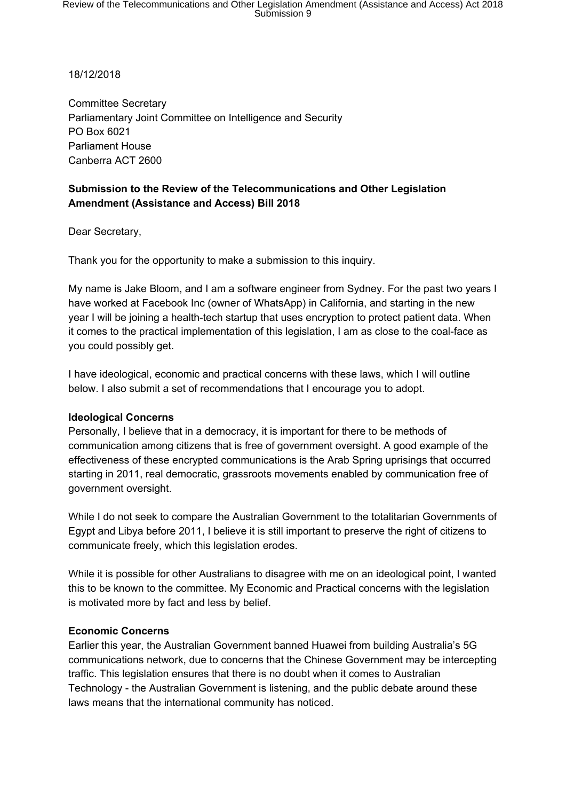18/12/2018

Committee Secretary Parliamentary Joint Committee on Intelligence and Security PO Box 6021 Parliament House Canberra ACT 2600

# **Submission to the Review of the Telecommunications and Other Legislation Amendment (Assistance and Access) Bill 2018**

Dear Secretary,

Thank you for the opportunity to make a submission to this inquiry.

My name is Jake Bloom, and I am a software engineer from Sydney. For the past two years I have worked at Facebook Inc (owner of WhatsApp) in California, and starting in the new year I will be joining a health-tech startup that uses encryption to protect patient data. When it comes to the practical implementation of this legislation, I am as close to the coal-face as you could possibly get.

I have ideological, economic and practical concerns with these laws, which I will outline below. I also submit a set of recommendations that I encourage you to adopt.

### **Ideological Concerns**

Personally, I believe that in a democracy, it is important for there to be methods of communication among citizens that is free of government oversight. A good example of the effectiveness of these encrypted communications is the Arab Spring uprisings that occurred starting in 2011, real democratic, grassroots movements enabled by communication free of government oversight.

While I do not seek to compare the Australian Government to the totalitarian Governments of Egypt and Libya before 2011, I believe it is still important to preserve the right of citizens to communicate freely, which this legislation erodes.

While it is possible for other Australians to disagree with me on an ideological point, I wanted this to be known to the committee. My Economic and Practical concerns with the legislation is motivated more by fact and less by belief.

### **Economic Concerns**

Earlier this year, the Australian Government banned Huawei from building Australia's 5G communications network, due to concerns that the Chinese Government may be intercepting traffic. This legislation ensures that there is no doubt when it comes to Australian Technology - the Australian Government is listening, and the public debate around these laws means that the international community has noticed.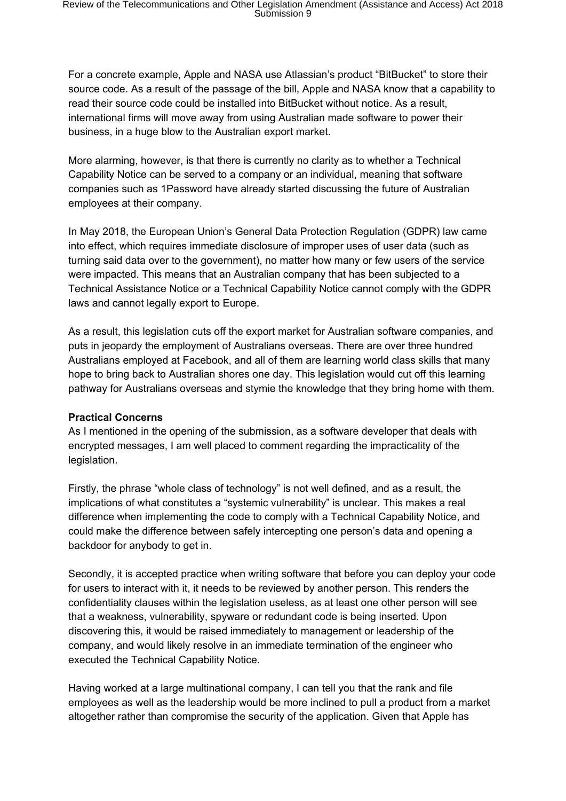For a concrete example, Apple and NASA use Atlassian's product "BitBucket" to store their source code. As a result of the passage of the bill, Apple and NASA know that a capability to read their source code could be installed into BitBucket without notice. As a result, international firms will move away from using Australian made software to power their business, in a huge blow to the Australian export market.

More alarming, however, is that there is currently no clarity as to whether a Technical Capability Notice can be served to a company or an individual, meaning that software companies such as 1Password have already started discussing the future of Australian employees at their company.

In May 2018, the European Union's General Data Protection Regulation (GDPR) law came into effect, which requires immediate disclosure of improper uses of user data (such as turning said data over to the government), no matter how many or few users of the service were impacted. This means that an Australian company that has been subjected to a Technical Assistance Notice or a Technical Capability Notice cannot comply with the GDPR laws and cannot legally export to Europe.

As a result, this legislation cuts off the export market for Australian software companies, and puts in jeopardy the employment of Australians overseas. There are over three hundred Australians employed at Facebook, and all of them are learning world class skills that many hope to bring back to Australian shores one day. This legislation would cut off this learning pathway for Australians overseas and stymie the knowledge that they bring home with them.

### **Practical Concerns**

As I mentioned in the opening of the submission, as a software developer that deals with encrypted messages, I am well placed to comment regarding the impracticality of the legislation.

Firstly, the phrase "whole class of technology" is not well defined, and as a result, the implications of what constitutes a "systemic vulnerability" is unclear. This makes a real difference when implementing the code to comply with a Technical Capability Notice, and could make the difference between safely intercepting one person's data and opening a backdoor for anybody to get in.

Secondly, it is accepted practice when writing software that before you can deploy your code for users to interact with it, it needs to be reviewed by another person. This renders the confidentiality clauses within the legislation useless, as at least one other person will see that a weakness, vulnerability, spyware or redundant code is being inserted. Upon discovering this, it would be raised immediately to management or leadership of the company, and would likely resolve in an immediate termination of the engineer who executed the Technical Capability Notice.

Having worked at a large multinational company, I can tell you that the rank and file employees as well as the leadership would be more inclined to pull a product from a market altogether rather than compromise the security of the application. Given that Apple has